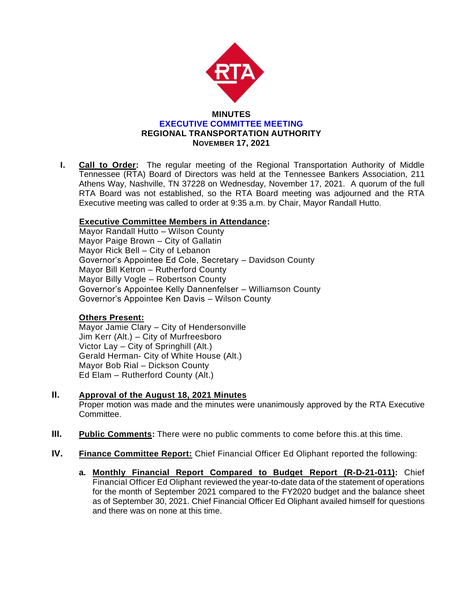

**I. Call to Order:** The regular meeting of the Regional Transportation Authority of Middle Tennessee (RTA) Board of Directors was held at the Tennessee Bankers Association, 211 Athens Way, Nashville, TN 37228 on Wednesday, November 17, 2021. A quorum of the full RTA Board was not established, so the RTA Board meeting was adjourned and the RTA Executive meeting was called to order at 9:35 a.m. by Chair, Mayor Randall Hutto.

## **Executive Committee Members in Attendance:**

Mayor Randall Hutto – Wilson County Mayor Paige Brown – City of Gallatin Mayor Rick Bell – City of Lebanon Governor's Appointee Ed Cole, Secretary – Davidson County Mayor Bill Ketron – Rutherford County Mayor Billy Vogle – Robertson County Governor's Appointee Kelly Dannenfelser – Williamson County Governor's Appointee Ken Davis – Wilson County

## **Others Present:**

Mayor Jamie Clary – City of Hendersonville Jim Kerr (Alt.) – City of Murfreesboro Victor Lay – City of Springhill (Alt.) Gerald Herman- City of White House (Alt.) Mayor Bob Rial – Dickson County Ed Elam – Rutherford County (Alt.)

- **II. Approval of the August 18, 2021 Minutes** Proper motion was made and the minutes were unanimously approved by the RTA Executive Committee.
- **III. Public Comments:** There were no public comments to come before this.at this time.
- **IV. Finance Committee Report:** Chief Financial Officer Ed Oliphant reported the following:
	- **a. Monthly Financial Report Compared to Budget Report (R-D-21-011):** Chief Financial Officer Ed Oliphant reviewed the year-to-date data of the statement of operations for the month of September 2021 compared to the FY2020 budget and the balance sheet as of September 30, 2021. Chief Financial Officer Ed Oliphant availed himself for questions and there was on none at this time.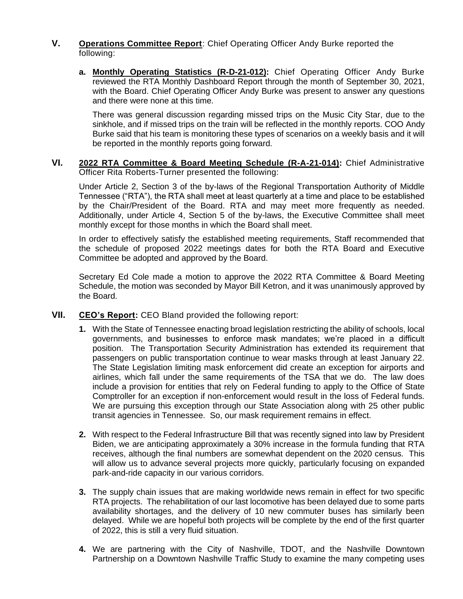- **V. Operations Committee Report**: Chief Operating Officer Andy Burke reported the following:
	- **a. Monthly Operating Statistics (R-D-21-012):** Chief Operating Officer Andy Burke reviewed the RTA Monthly Dashboard Report through the month of September 30, 2021, with the Board. Chief Operating Officer Andy Burke was present to answer any questions and there were none at this time.

There was general discussion regarding missed trips on the Music City Star, due to the sinkhole, and if missed trips on the train will be reflected in the monthly reports. COO Andy Burke said that his team is monitoring these types of scenarios on a weekly basis and it will be reported in the monthly reports going forward.

**VI. 2022 RTA Committee & Board Meeting Schedule (R-A-21-014):** Chief Administrative Officer Rita Roberts-Turner presented the following:

Under Article 2, Section 3 of the by-laws of the Regional Transportation Authority of Middle Tennessee ("RTA"), the RTA shall meet at least quarterly at a time and place to be established by the Chair/President of the Board. RTA and may meet more frequently as needed. Additionally, under Article 4, Section 5 of the by-laws, the Executive Committee shall meet monthly except for those months in which the Board shall meet.

In order to effectively satisfy the established meeting requirements, Staff recommended that the schedule of proposed 2022 meetings dates for both the RTA Board and Executive Committee be adopted and approved by the Board.

Secretary Ed Cole made a motion to approve the 2022 RTA Committee & Board Meeting Schedule, the motion was seconded by Mayor Bill Ketron, and it was unanimously approved by the Board.

- **VII. CEO's Report:** CEO Bland provided the following report:
	- **1.** With the State of Tennessee enacting broad legislation restricting the ability of schools, local governments, and businesses to enforce mask mandates; we're placed in a difficult position. The Transportation Security Administration has extended its requirement that passengers on public transportation continue to wear masks through at least January 22. The State Legislation limiting mask enforcement did create an exception for airports and airlines, which fall under the same requirements of the TSA that we do. The law does include a provision for entities that rely on Federal funding to apply to the Office of State Comptroller for an exception if non-enforcement would result in the loss of Federal funds. We are pursuing this exception through our State Association along with 25 other public transit agencies in Tennessee. So, our mask requirement remains in effect.
	- **2.** With respect to the Federal Infrastructure Bill that was recently signed into law by President Biden, we are anticipating approximately a 30% increase in the formula funding that RTA receives, although the final numbers are somewhat dependent on the 2020 census. This will allow us to advance several projects more quickly, particularly focusing on expanded park-and-ride capacity in our various corridors.
	- **3.** The supply chain issues that are making worldwide news remain in effect for two specific RTA projects. The rehabilitation of our last locomotive has been delayed due to some parts availability shortages, and the delivery of 10 new commuter buses has similarly been delayed. While we are hopeful both projects will be complete by the end of the first quarter of 2022, this is still a very fluid situation.
	- **4.** We are partnering with the City of Nashville, TDOT, and the Nashville Downtown Partnership on a Downtown Nashville Traffic Study to examine the many competing uses